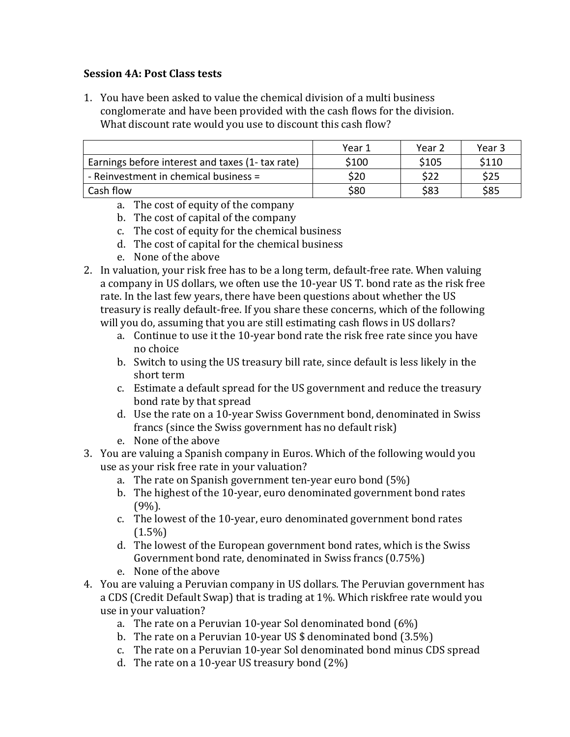## **Session 4A**: Post Class tests

1. You have been asked to value the chemical division of a multi business conglomerate and have been provided with the cash flows for the division. What discount rate would you use to discount this cash flow?

|                                                  | Year 1 | Year 2 | Year 3 |
|--------------------------------------------------|--------|--------|--------|
| Earnings before interest and taxes (1- tax rate) | \$100  | \$105  | \$110  |
| - Reinvestment in chemical business =            | \$20   | \$22   | \$25   |
| Cash flow                                        | \$80   | \$83   | \$85   |

- a. The cost of equity of the company
- b. The cost of capital of the company
- c. The cost of equity for the chemical business
- d. The cost of capital for the chemical business
- e. None of the above
- 2. In valuation, your risk free has to be a long term, default-free rate. When valuing a company in US dollars, we often use the 10-year US T. bond rate as the risk free rate. In the last few years, there have been questions about whether the US treasury is really default-free. If you share these concerns, which of the following will you do, assuming that you are still estimating cash flows in US dollars?
	- a. Continue to use it the 10-year bond rate the risk free rate since you have no choice
	- b. Switch to using the US treasury bill rate, since default is less likely in the short term
	- c. Estimate a default spread for the US government and reduce the treasury bond rate by that spread
	- d. Use the rate on a 10-year Swiss Government bond, denominated in Swiss francs (since the Swiss government has no default risk)
	- e. None of the above
- 3. You are valuing a Spanish company in Euros. Which of the following would you use as your risk free rate in your valuation?
	- a. The rate on Spanish government ten-year euro bond  $(5%)$
	- b. The highest of the 10-year, euro denominated government bond rates (9%).
	- c. The lowest of the 10-year, euro denominated government bond rates  $(1.5\%)$
	- d. The lowest of the European government bond rates, which is the Swiss Government bond rate, denominated in Swiss francs  $(0.75\%)$
	- e. None of the above
- 4. You are valuing a Peruvian company in US dollars. The Peruvian government has a CDS (Credit Default Swap) that is trading at 1%. Which riskfree rate would you use in your valuation?
	- a. The rate on a Peruvian 10-year Sol denominated bond  $(6%)$
	- b. The rate on a Peruvian 10-year US  $\frac{1}{2}$  denominated bond (3.5%)
	- c. The rate on a Peruvian 10-year Sol denominated bond minus CDS spread
	- d. The rate on a 10-year US treasury bond  $(2\%)$